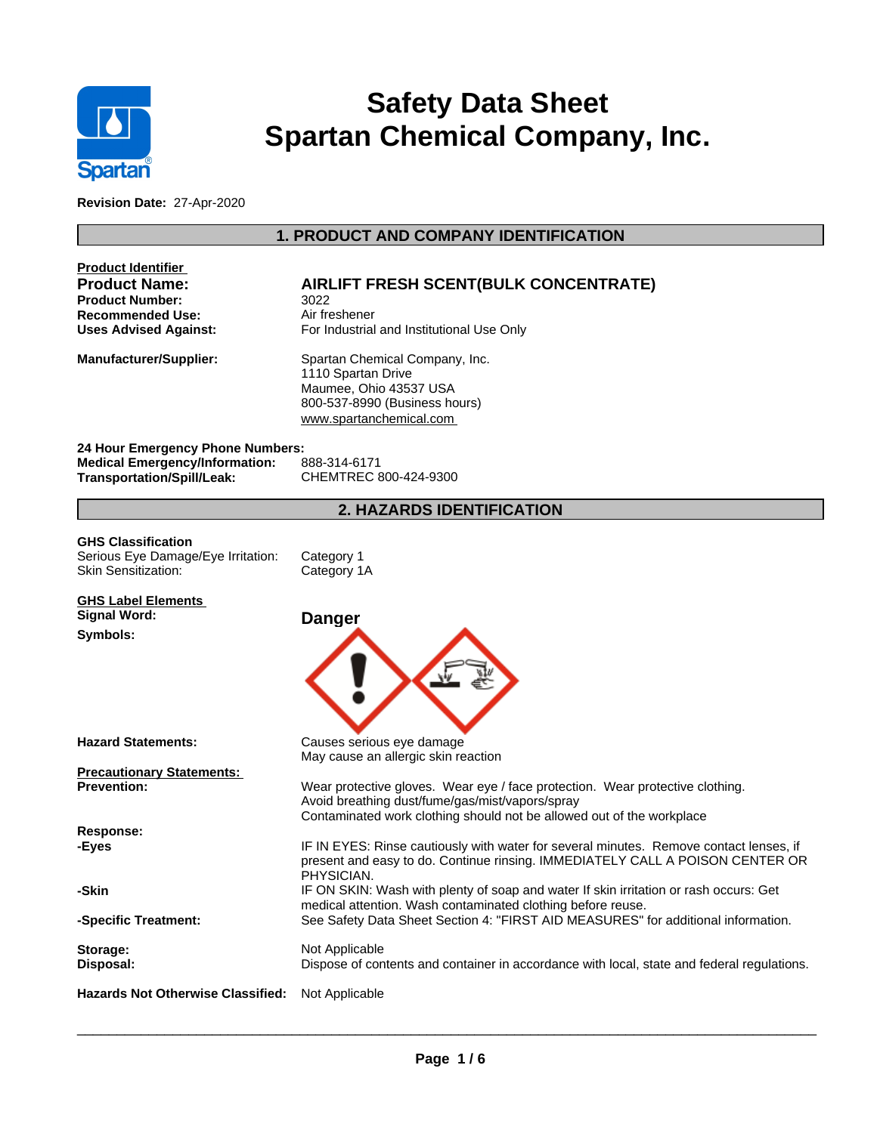

# **Safety Data Sheet Spartan Chemical Company, Inc.**

**Revision Date:** 27-Apr-2020

## **1. PRODUCT AND COMPANY IDENTIFICATION**

| <b>Product Identifier</b><br><b>Product Name:</b><br><b>Product Number:</b><br><b>Recommended Use:</b><br><b>Uses Advised Against:</b> | <b>AIRLIFT FRESH SCENT(BULK CONCENTRATE)</b><br>3022<br>Air freshener<br>For Industrial and Institutional Use Only                                                                                        |
|----------------------------------------------------------------------------------------------------------------------------------------|-----------------------------------------------------------------------------------------------------------------------------------------------------------------------------------------------------------|
| <b>Manufacturer/Supplier:</b>                                                                                                          | Spartan Chemical Company, Inc.<br>1110 Spartan Drive<br>Maumee, Ohio 43537 USA<br>800-537-8990 (Business hours)<br>www.spartanchemical.com                                                                |
| 24 Hour Emergency Phone Numbers:<br><b>Medical Emergency/Information:</b><br><b>Transportation/Spill/Leak:</b>                         | 888-314-6171<br>CHEMTREC 800-424-9300                                                                                                                                                                     |
|                                                                                                                                        | <b>2. HAZARDS IDENTIFICATION</b>                                                                                                                                                                          |
| <b>GHS Classification</b><br>Serious Eye Damage/Eye Irritation:<br><b>Skin Sensitization:</b>                                          | Category 1<br>Category 1A                                                                                                                                                                                 |
| <b>GHS Label Elements</b><br><b>Signal Word:</b><br>Symbols:                                                                           | <b>Danger</b>                                                                                                                                                                                             |
| <b>Hazard Statements:</b>                                                                                                              | Causes serious eye damage<br>May cause an allergic skin reaction                                                                                                                                          |
| <b>Precautionary Statements:</b><br><b>Prevention:</b>                                                                                 | Wear protective gloves. Wear eye / face protection. Wear protective clothing.<br>Avoid breathing dust/fume/gas/mist/vapors/spray<br>Contaminated work clothing should not be allowed out of the workplace |
| Response:<br>-Eyes                                                                                                                     | IF IN EYES: Rinse cautiously with water for several minutes. Remove contact lenses, if<br>present and easy to do. Continue rinsing. IMMEDIATELY CALL A POISON CENTER OR<br>PHYSICIAN.                     |
| -Skin                                                                                                                                  | IF ON SKIN: Wash with plenty of soap and water If skin irritation or rash occurs: Get<br>medical attention. Wash contaminated clothing before reuse.                                                      |
| -Specific Treatment:<br>Storage:<br>Disposal:                                                                                          | See Safety Data Sheet Section 4: "FIRST AID MEASURES" for additional information.<br>Not Applicable<br>Dispose of contents and container in accordance with local, state and federal regulations.         |
| <b>Hazards Not Otherwise Classified:</b>                                                                                               | Not Applicable                                                                                                                                                                                            |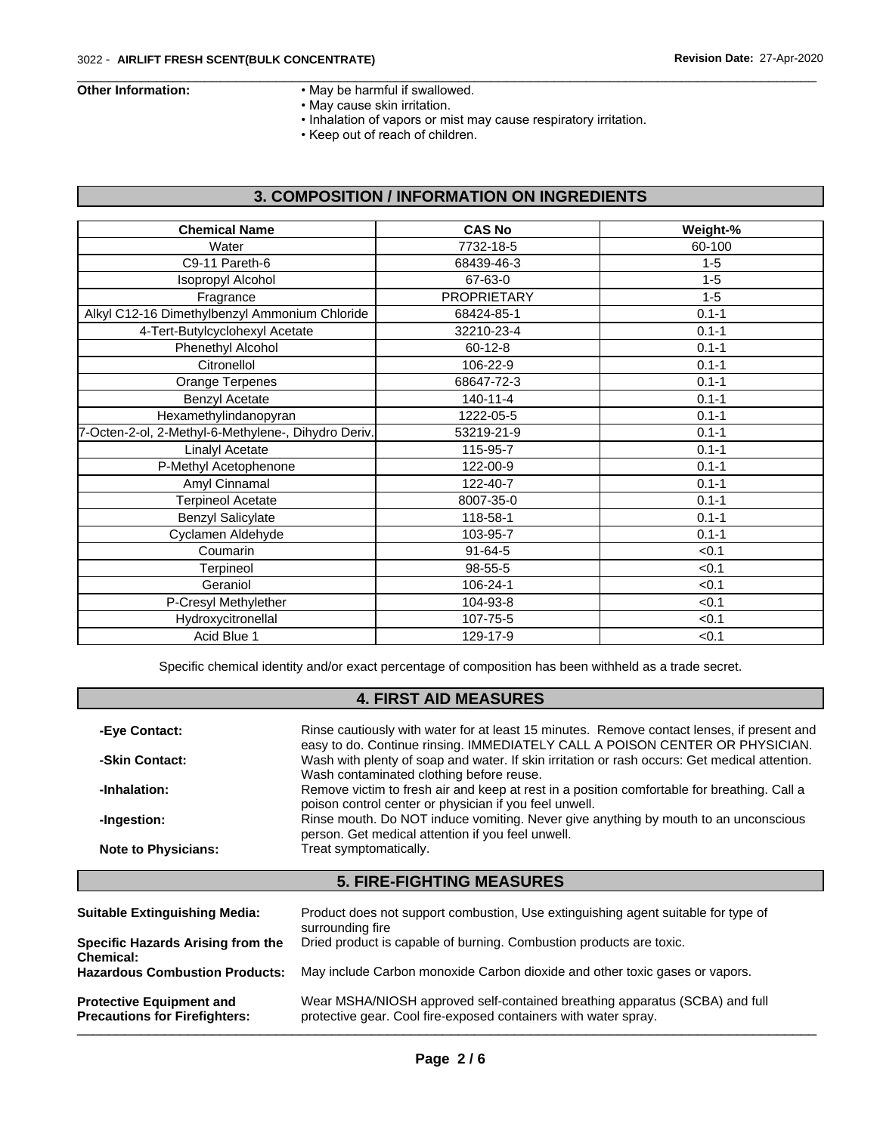- Other Information: May be harmful if swallowed.
	- May cause skin irritation.
	- Inhalation of vapors or mist may cause respiratory irritation.

 $\overline{\phantom{a}}$  ,  $\overline{\phantom{a}}$  ,  $\overline{\phantom{a}}$  ,  $\overline{\phantom{a}}$  ,  $\overline{\phantom{a}}$  ,  $\overline{\phantom{a}}$  ,  $\overline{\phantom{a}}$  ,  $\overline{\phantom{a}}$  ,  $\overline{\phantom{a}}$  ,  $\overline{\phantom{a}}$  ,  $\overline{\phantom{a}}$  ,  $\overline{\phantom{a}}$  ,  $\overline{\phantom{a}}$  ,  $\overline{\phantom{a}}$  ,  $\overline{\phantom{a}}$  ,  $\overline{\phantom{a}}$ 

• Keep out of reach of children.

## **3. COMPOSITION / INFORMATION ON INGREDIENTS**

| <b>Chemical Name</b>                                | <b>CAS No</b>      | Weight-%  |
|-----------------------------------------------------|--------------------|-----------|
| Water                                               | 7732-18-5          | 60-100    |
| C9-11 Pareth-6                                      | 68439-46-3         | $1 - 5$   |
| <b>Isopropyl Alcohol</b>                            | 67-63-0            | $1 - 5$   |
| Fragrance                                           | <b>PROPRIETARY</b> | $1 - 5$   |
| Alkyl C12-16 Dimethylbenzyl Ammonium Chloride       | 68424-85-1         | $0.1 - 1$ |
| 4-Tert-Butylcyclohexyl Acetate                      | 32210-23-4         | $0.1 - 1$ |
| Phenethyl Alcohol                                   | $60 - 12 - 8$      | $0.1 - 1$ |
| Citronellol                                         | 106-22-9           | $0.1 - 1$ |
| Orange Terpenes                                     | 68647-72-3         | $0.1 - 1$ |
| <b>Benzyl Acetate</b>                               | $140 - 11 - 4$     | $0.1 - 1$ |
| Hexamethylindanopyran                               | 1222-05-5          | $0.1 - 1$ |
| 7-Octen-2-ol, 2-Methyl-6-Methylene-, Dihydro Deriv. | 53219-21-9         | $0.1 - 1$ |
| Linalyl Acetate                                     | 115-95-7           | $0.1 - 1$ |
| P-Methyl Acetophenone                               | 122-00-9           | $0.1 - 1$ |
| Amyl Cinnamal                                       | 122-40-7           | $0.1 - 1$ |
| <b>Terpineol Acetate</b>                            | 8007-35-0          | $0.1 - 1$ |
| <b>Benzyl Salicylate</b>                            | 118-58-1           | $0.1 - 1$ |
| Cyclamen Aldehyde                                   | 103-95-7           | $0.1 - 1$ |
| Coumarin                                            | $91 - 64 - 5$      | < 0.1     |
| Terpineol                                           | 98-55-5            | < 0.1     |
| Geraniol                                            | 106-24-1           | < 0.1     |
| P-Cresyl Methylether                                | 104-93-8           | < 0.1     |
| Hydroxycitronellal                                  | 107-75-5           | < 0.1     |
| Acid Blue 1                                         | 129-17-9           | < 0.1     |
|                                                     |                    |           |

Specific chemical identity and/or exact percentage of composition has been withheld as a trade secret.

## **4. FIRST AID MEASURES**

| -Eye Contact:              | Rinse cautiously with water for at least 15 minutes. Remove contact lenses, if present and                                                                                    |
|----------------------------|-------------------------------------------------------------------------------------------------------------------------------------------------------------------------------|
| -Skin Contact:             | easy to do. Continue rinsing. IMMEDIATELY CALL A POISON CENTER OR PHYSICIAN.<br>Wash with plenty of soap and water. If skin irritation or rash occurs: Get medical attention. |
| -Inhalation:               | Wash contaminated clothing before reuse.<br>Remove victim to fresh air and keep at rest in a position comfortable for breathing. Call a                                       |
| -Ingestion:                | poison control center or physician if you feel unwell.<br>Rinse mouth. Do NOT induce vomiting. Never give anything by mouth to an unconscious                                 |
| <b>Note to Physicians:</b> | person. Get medical attention if you feel unwell.<br>Treat symptomatically.                                                                                                   |
|                            |                                                                                                                                                                               |

## **5. FIRE-FIGHTING MEASURES**

| <b>Suitable Extinguishing Media:</b>                                    | Product does not support combustion, Use extinguishing agent suitable for type of<br>surrounding fire                                          |
|-------------------------------------------------------------------------|------------------------------------------------------------------------------------------------------------------------------------------------|
| Specific Hazards Arising from the<br>Chemical:                          | Dried product is capable of burning. Combustion products are toxic.                                                                            |
| <b>Hazardous Combustion Products:</b>                                   | May include Carbon monoxide Carbon dioxide and other toxic gases or vapors.                                                                    |
| <b>Protective Equipment and</b><br><b>Precautions for Firefighters:</b> | Wear MSHA/NIOSH approved self-contained breathing apparatus (SCBA) and full<br>protective gear. Cool fire-exposed containers with water spray. |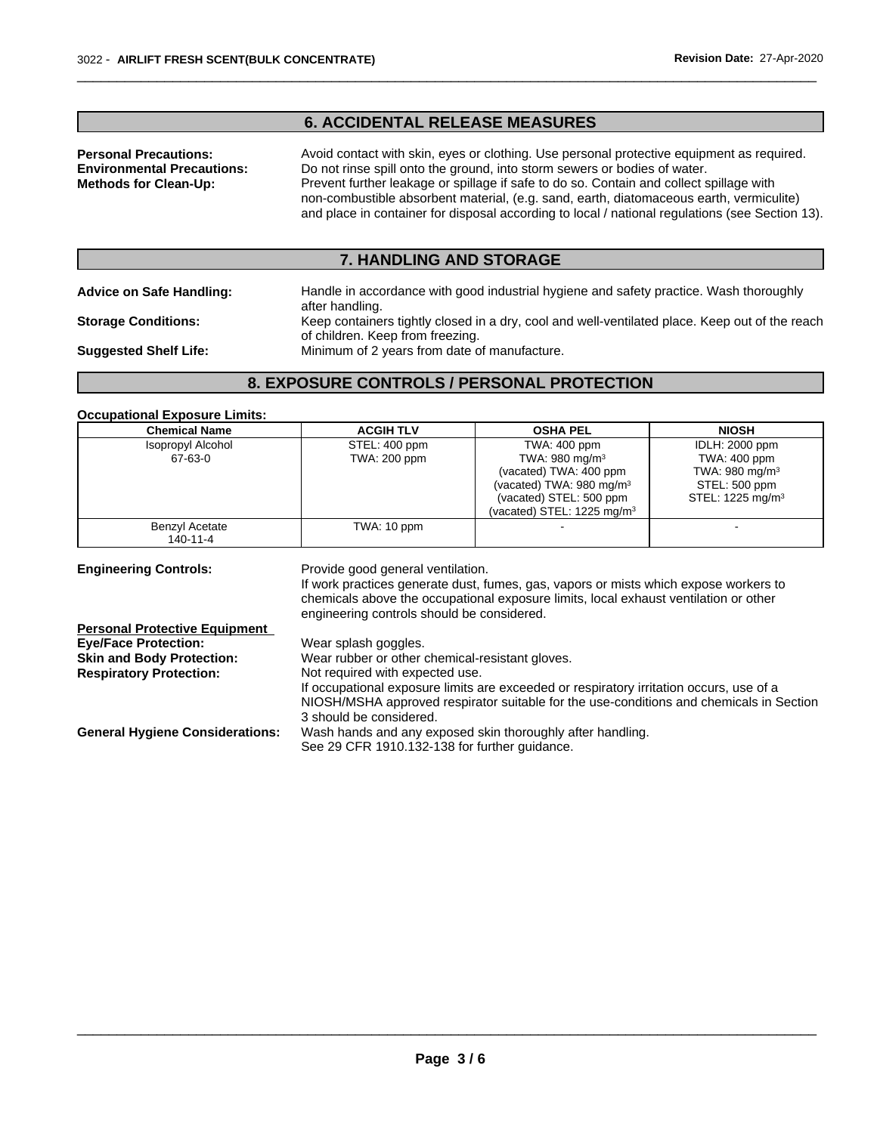## **6. ACCIDENTAL RELEASE MEASURES**

**Personal Precautions:** Avoid contact with skin, eyes or clothing. Use personal protective equipment as required. **Environmental Precautions:** Do not rinse spill onto the ground, into storm sewers or bodies of water. **Methods for Clean-Up:** Prevent further leakage or spillage if safe to do so. Contain and collect spillage with non-combustible absorbent material, (e.g. sand, earth, diatomaceous earth, vermiculite) and place in container for disposal according to local / national regulations (see Section 13).

 $\overline{\phantom{a}}$  ,  $\overline{\phantom{a}}$  ,  $\overline{\phantom{a}}$  ,  $\overline{\phantom{a}}$  ,  $\overline{\phantom{a}}$  ,  $\overline{\phantom{a}}$  ,  $\overline{\phantom{a}}$  ,  $\overline{\phantom{a}}$  ,  $\overline{\phantom{a}}$  ,  $\overline{\phantom{a}}$  ,  $\overline{\phantom{a}}$  ,  $\overline{\phantom{a}}$  ,  $\overline{\phantom{a}}$  ,  $\overline{\phantom{a}}$  ,  $\overline{\phantom{a}}$  ,  $\overline{\phantom{a}}$ 

## **7. HANDLING AND STORAGE**

**Advice on Safe Handling:** Handle in accordance with good industrial hygiene and safety practice. Wash thoroughly after handling. **Storage Conditions:** Keep containers tightly closed in a dry, cool and well-ventilated place. Keep out of the reach

of children. Keep from freezing. **Suggested Shelf Life:** Minimum of 2 years from date of manufacture.

## **8. EXPOSURE CONTROLS / PERSONAL PROTECTION**

#### **Occupational Exposure Limits:**

| <b>Chemical Name</b>                 | <b>ACGIH TLV</b>                                                                                                                                                                                                                                                | <b>OSHA PEL</b>                       | <b>NIOSH</b>                 |
|--------------------------------------|-----------------------------------------------------------------------------------------------------------------------------------------------------------------------------------------------------------------------------------------------------------------|---------------------------------------|------------------------------|
| <b>Isopropyl Alcohol</b>             | STEL: 400 ppm                                                                                                                                                                                                                                                   | TWA: 400 ppm                          | <b>IDLH: 2000 ppm</b>        |
| 67-63-0                              | <b>TWA: 200 ppm</b>                                                                                                                                                                                                                                             | TWA: 980 mg/m $3$                     | TWA: 400 ppm                 |
|                                      |                                                                                                                                                                                                                                                                 | (vacated) TWA: 400 ppm                | TWA: 980 mg/m $3$            |
|                                      |                                                                                                                                                                                                                                                                 | (vacated) TWA: $980 \text{ mg/m}^3$   | STEL: 500 ppm                |
|                                      |                                                                                                                                                                                                                                                                 | (vacated) STEL: 500 ppm               | STEL: 1225 mg/m <sup>3</sup> |
|                                      |                                                                                                                                                                                                                                                                 | (vacated) STEL: $1225 \text{ mg/m}^3$ |                              |
| Benzyl Acetate<br>140-11-4           | TWA: 10 ppm                                                                                                                                                                                                                                                     |                                       |                              |
| <b>Engineering Controls:</b>         | Provide good general ventilation.<br>If work practices generate dust, fumes, gas, vapors or mists which expose workers to<br>chemicals above the occupational exposure limits, local exhaust ventilation or other<br>engineering controls should be considered. |                                       |                              |
| <b>Personal Protective Equipment</b> |                                                                                                                                                                                                                                                                 |                                       |                              |

| Wear splash goggles.                                                                    |
|-----------------------------------------------------------------------------------------|
| Wear rubber or other chemical-resistant gloves.                                         |
| Not required with expected use.                                                         |
| If occupational exposure limits are exceeded or respiratory irritation occurs, use of a |
| NIOSH/MSHA approved respirator suitable for the use-conditions and chemicals in Section |
| 3 should be considered.                                                                 |
| Wash hands and any exposed skin thoroughly after handling.                              |
| See 29 CFR 1910.132-138 for further guidance.                                           |
|                                                                                         |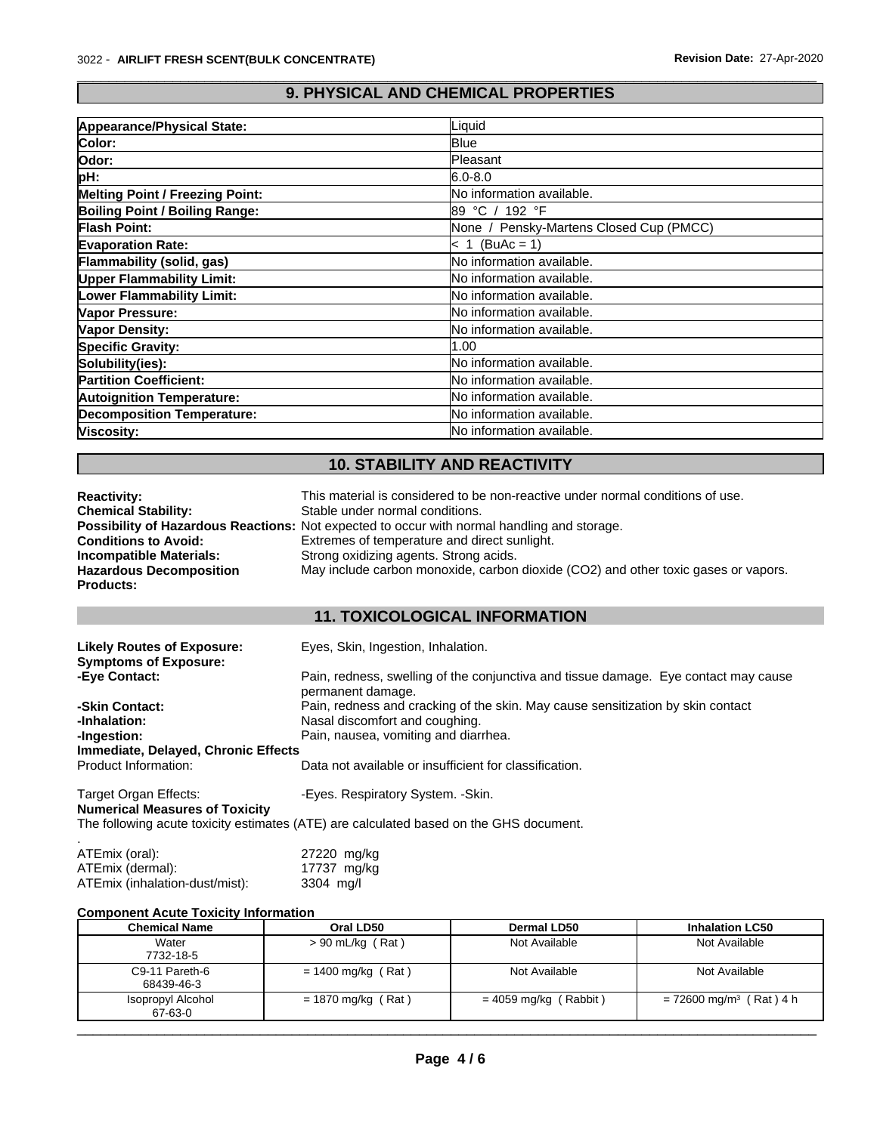## **9. PHYSICAL AND CHEMICAL PROPERTIES**

 $\overline{\phantom{a}}$  ,  $\overline{\phantom{a}}$  ,  $\overline{\phantom{a}}$  ,  $\overline{\phantom{a}}$  ,  $\overline{\phantom{a}}$  ,  $\overline{\phantom{a}}$  ,  $\overline{\phantom{a}}$  ,  $\overline{\phantom{a}}$  ,  $\overline{\phantom{a}}$  ,  $\overline{\phantom{a}}$  ,  $\overline{\phantom{a}}$  ,  $\overline{\phantom{a}}$  ,  $\overline{\phantom{a}}$  ,  $\overline{\phantom{a}}$  ,  $\overline{\phantom{a}}$  ,  $\overline{\phantom{a}}$ 

| Appearance/Physical State:             | Liquid                                  |
|----------------------------------------|-----------------------------------------|
| Color:                                 | <b>Blue</b>                             |
| Odor:                                  | Pleasant                                |
| pH:                                    | $6.0 - 8.0$                             |
| <b>Melting Point / Freezing Point:</b> | No information available.               |
| Boiling Point / Boiling Range:         | l89 °C / 192 °F                         |
| <b>Flash Point:</b>                    | None / Pensky-Martens Closed Cup (PMCC) |
| <b>Evaporation Rate:</b>               | $\leq 1$ (BuAc = 1)                     |
| Flammability (solid, gas)              | No information available.               |
| <b>Upper Flammability Limit:</b>       | <b>No information available.</b>        |
| Lower Flammability Limit:              | <b>No information available.</b>        |
| Vapor Pressure:                        | No information available.               |
| <b>Vapor Density:</b>                  | No information available.               |
| <b>Specific Gravity:</b>               | 1.00                                    |
| Solubility(ies):                       | No information available.               |
| <b>Partition Coefficient:</b>          | No information available.               |
| <b>Autoignition Temperature:</b>       | <b>No information available.</b>        |
| <b>Decomposition Temperature:</b>      | <b>No information available.</b>        |
| Viscosity:                             | <b>No information available.</b>        |

## **10. STABILITY AND REACTIVITY**

| <b>Reactivity:</b>             | This material is considered to be non-reactive under normal conditions of use.              |
|--------------------------------|---------------------------------------------------------------------------------------------|
| <b>Chemical Stability:</b>     | Stable under normal conditions.                                                             |
|                                | Possibility of Hazardous Reactions: Not expected to occur with normal handling and storage. |
| <b>Conditions to Avoid:</b>    | Extremes of temperature and direct sunlight.                                                |
| Incompatible Materials:        | Strong oxidizing agents. Strong acids.                                                      |
| <b>Hazardous Decomposition</b> | May include carbon monoxide, carbon dioxide (CO2) and other toxic gases or vapors.          |
| <b>Products:</b>               |                                                                                             |

## **11. TOXICOLOGICAL INFORMATION**

| <b>Likely Routes of Exposure:</b><br><b>Symptoms of Exposure:</b> | Eyes, Skin, Ingestion, Inhalation.                                                                       |
|-------------------------------------------------------------------|----------------------------------------------------------------------------------------------------------|
| -Eye Contact:                                                     | Pain, redness, swelling of the conjunctiva and tissue damage. Eye contact may cause<br>permanent damage. |
| -Skin Contact:                                                    | Pain, redness and cracking of the skin. May cause sensitization by skin contact                          |
| -Inhalation:                                                      | Nasal discomfort and coughing.                                                                           |
| -Ingestion:                                                       | Pain, nausea, vomiting and diarrhea.                                                                     |
| Immediate, Delayed, Chronic Effects                               |                                                                                                          |
| Product Information:                                              | Data not available or insufficient for classification.                                                   |
| Target Organ Effects:                                             | -Eyes. Respiratory System. - Skin.                                                                       |
| <b>Numerical Measures of Toxicity</b>                             |                                                                                                          |
|                                                                   | The following acute toxicity estimates (ATE) are calculated based on the GHS document.                   |

| ATEmix (oral):                 | 27220 mg/kg |
|--------------------------------|-------------|
| ATEmix (dermal):               | 17737 mg/kg |
| ATEmix (inhalation-dust/mist): | 3304 mg/l   |

### **Component Acute Toxicity Information**

| <b>Chemical Name</b>         | Oral LD50            | Dermal LD50             | <b>Inhalation LC50</b>                |
|------------------------------|----------------------|-------------------------|---------------------------------------|
| Water                        | $> 90$ mL/kg (Rat)   | Not Available           | Not Available                         |
| 7732-18-5                    |                      |                         |                                       |
| C9-11 Pareth-6<br>68439-46-3 | $= 1400$ mg/kg (Rat) | Not Available           | Not Available                         |
| Isopropyl Alcohol<br>67-63-0 | $= 1870$ mg/kg (Rat) | $= 4059$ mg/kg (Rabbit) | $= 72600$ mg/m <sup>3</sup> (Rat) 4 h |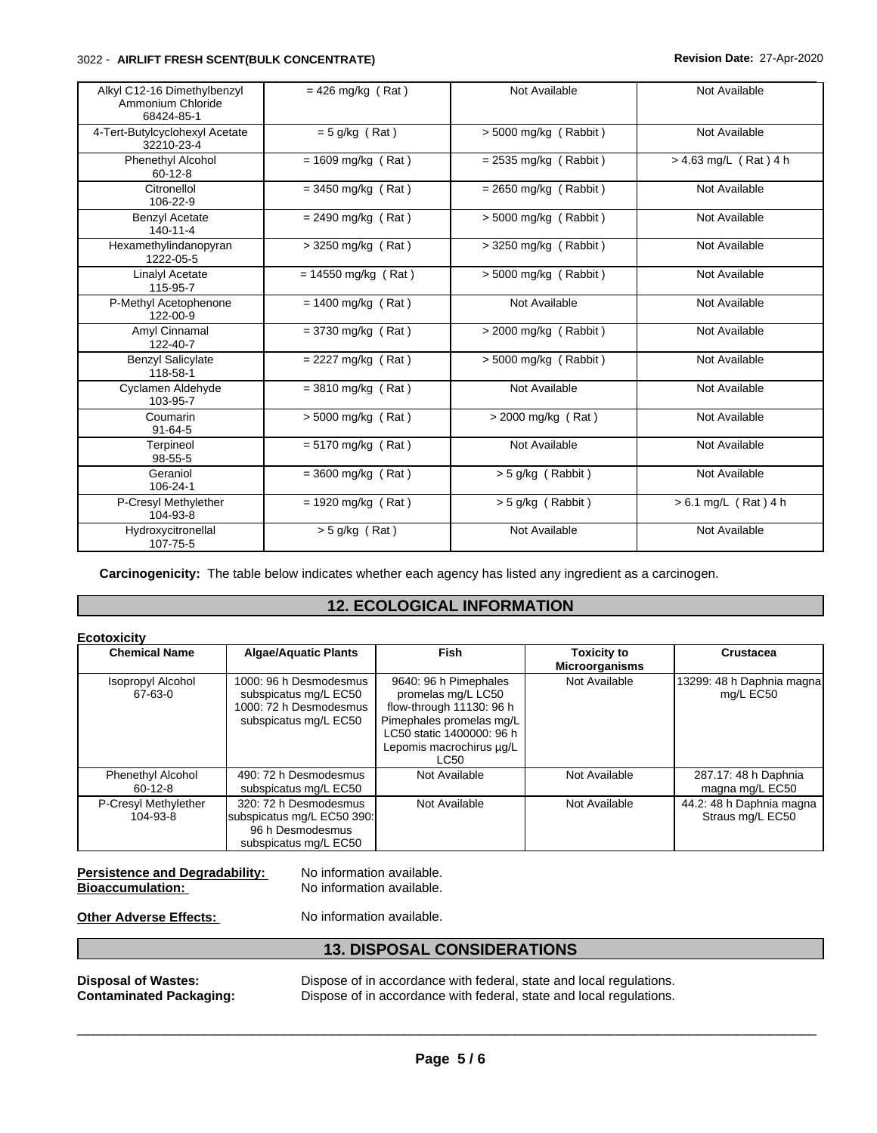#### 3022 - **AIRLIFT FRESH SCENT(BULK CONCENTRATE) Revision Date:** 27-Apr-2020

| Alkyl C12-16 Dimethylbenzyl<br>Ammonium Chloride | $= 426$ mg/kg (Rat)   | Not Available           | Not Available           |
|--------------------------------------------------|-----------------------|-------------------------|-------------------------|
| 68424-85-1                                       |                       |                         |                         |
| 4-Tert-Butylcyclohexyl Acetate<br>32210-23-4     | $= 5$ g/kg (Rat)      | $> 5000$ mg/kg (Rabbit) | Not Available           |
| <b>Phenethyl Alcohol</b><br>$60 - 12 - 8$        | $= 1609$ mg/kg (Rat)  | $= 2535$ mg/kg (Rabbit) | $> 4.63$ mg/L (Rat) 4 h |
| Citronellol<br>106-22-9                          | $=$ 3450 mg/kg (Rat)  | $= 2650$ mg/kg (Rabbit) | Not Available           |
| <b>Benzyl Acetate</b><br>$140 - 11 - 4$          | $= 2490$ mg/kg (Rat)  | > 5000 mg/kg (Rabbit)   | Not Available           |
| Hexamethylindanopyran<br>1222-05-5               | > 3250 mg/kg (Rat)    | > 3250 mg/kg (Rabbit)   | Not Available           |
| Linalyl Acetate<br>115-95-7                      | $= 14550$ mg/kg (Rat) | $> 5000$ mg/kg (Rabbit) | Not Available           |
| P-Methyl Acetophenone<br>122-00-9                | $= 1400$ mg/kg (Rat)  | Not Available           | Not Available           |
| Amyl Cinnamal<br>122-40-7                        | $= 3730$ mg/kg (Rat)  | $>$ 2000 mg/kg (Rabbit) | Not Available           |
| <b>Benzyl Salicylate</b><br>118-58-1             | $= 2227$ mg/kg (Rat)  | > 5000 mg/kg (Rabbit)   | Not Available           |
| Cyclamen Aldehyde<br>103-95-7                    | $= 3810$ mg/kg (Rat)  | Not Available           | Not Available           |
| Coumarin<br>$91 - 64 - 5$                        | > 5000 mg/kg (Rat)    | > 2000 mg/kg (Rat)      | Not Available           |
| Terpineol<br>$98 - 55 - 5$                       | $= 5170$ mg/kg (Rat)  | Not Available           | Not Available           |
| Geraniol<br>106-24-1                             | $=$ 3600 mg/kg (Rat)  | $>$ 5 g/kg (Rabbit)     | Not Available           |
| P-Cresyl Methylether<br>104-93-8                 | $= 1920$ mg/kg (Rat)  | $>$ 5 g/kg (Rabbit)     | $> 6.1$ mg/L (Rat) 4 h  |
| Hydroxycitronellal<br>107-75-5                   | $> 5$ g/kg (Rat)      | Not Available           | Not Available           |

**Carcinogenicity:** The table below indicates whether each agency has listed any ingredient as a carcinogen.

## **12. ECOLOGICAL INFORMATION**

| <b>Ecotoxicity</b><br><b>Chemical Name</b> | <b>Algae/Aquatic Plants</b>                                                                        | Fish                                                                                                                                                                 | <b>Toxicity to</b><br><b>Microorganisms</b> | Crustacea                                    |
|--------------------------------------------|----------------------------------------------------------------------------------------------------|----------------------------------------------------------------------------------------------------------------------------------------------------------------------|---------------------------------------------|----------------------------------------------|
| <b>Isopropyl Alcohol</b><br>67-63-0        | 1000: 96 h Desmodesmus<br>subspicatus mg/L EC50<br>1000: 72 h Desmodesmus<br>subspicatus mg/L EC50 | 9640: 96 h Pimephales<br>promelas mg/L LC50<br>flow-through 11130: 96 h<br>Pimephales promelas mq/L<br>LC50 static 1400000: 96 h<br>Lepomis macrochirus ug/L<br>LC50 | Not Available                               | 13299: 48 h Daphnia magna<br>mg/L EC50       |
| <b>Phenethyl Alcohol</b><br>$60 - 12 - 8$  | 490: 72 h Desmodesmus<br>subspicatus mg/L EC50                                                     | Not Available                                                                                                                                                        | Not Available                               | 287.17: 48 h Daphnia<br>magna mg/L EC50      |
| P-Cresyl Methylether<br>104-93-8           | 320: 72 h Desmodesmus<br>subspicatus mg/L EC50 390:<br>96 h Desmodesmus<br>subspicatus mg/L EC50   | Not Available                                                                                                                                                        | Not Available                               | 44.2: 48 h Daphnia magna<br>Straus mg/L EC50 |

**Persistence and Degradability:** No information available.<br> **Bioaccumulation:** No information available.

No information available.

**Other Adverse Effects:** No information available.

## **13. DISPOSAL CONSIDERATIONS**

**Disposal of Wastes:** Dispose of in accordance with federal, state and local regulations.<br>**Contaminated Packaging:** Dispose of in accordance with federal, state and local regulations. Dispose of in accordance with federal, state and local regulations.